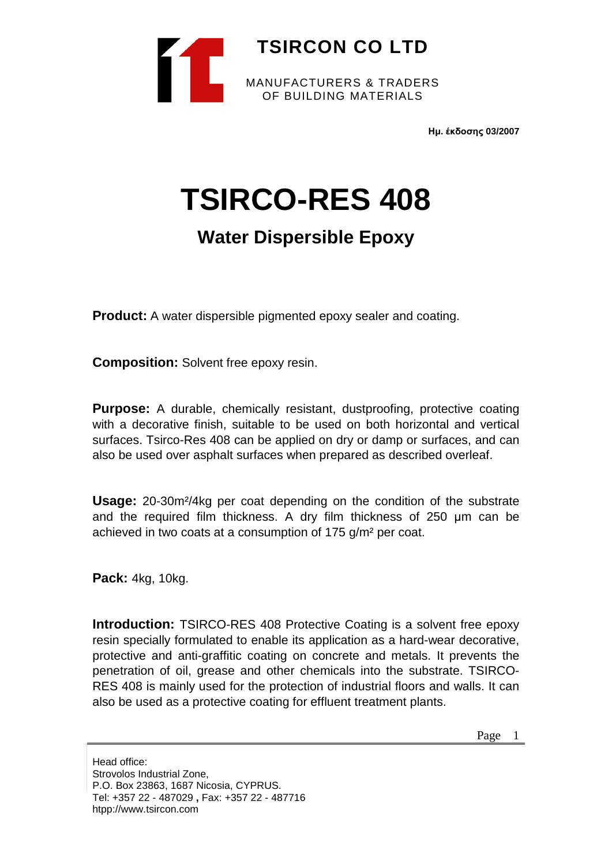

**Ημ. έκδοσης 03/2007**

# **TSIRCO-RES 408**

# **Water Dispersible Epoxy**

**Product:** A water dispersible pigmented epoxy sealer and coating.

**Composition:** Solvent free epoxy resin.

**Purpose:** A durable, chemically resistant, dustproofing, protective coating with a decorative finish, suitable to be used on both horizontal and vertical surfaces. Tsirco-Res 408 can be applied on dry or damp or surfaces, and can also be used over asphalt surfaces when prepared as described overleaf.

**Usage:** 20-30m²/4kg per coat depending on the condition of the substrate and the required film thickness. A dry film thickness of 250 μm can be achieved in two coats at a consumption of 175 g/m² per coat.

**Pack:** 4kg, 10kg.

**Introduction:** TSIRCO-RES 408 Protective Coating is a solvent free epoxy resin specially formulated to enable its application as a hard-wear decorative, protective and anti-graffitic coating on concrete and metals. It prevents the penetration of oil, grease and other chemicals into the substrate. TSIRCO-RES 408 is mainly used for the protection of industrial floors and walls. It can also be used as a protective coating for effluent treatment plants.

Page 1

Head office: Strovolos Industrial Zone, P.O. Box 23863, 1687 Nicosia, CYPRUS. Tel: +357 22 - 487029 **,** Fax: +357 22 - 487716 htpp://www.tsircon.com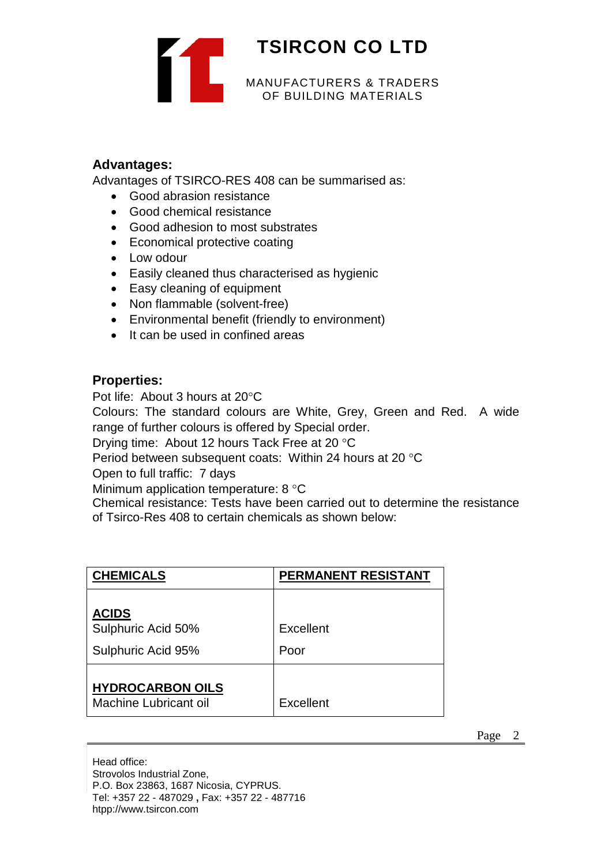

### **Advantages:**

Advantages of TSIRCO-RES 408 can be summarised as:

- Good abrasion resistance
- Good chemical resistance
- Good adhesion to most substrates
- Economical protective coating
- Low odour
- Easily cleaned thus characterised as hygienic
- Easy cleaning of equipment
- Non flammable (solvent-free)
- Environmental benefit (friendly to environment)
- It can be used in confined areas

### **Properties:**

Pot life: About 3 hours at 20°C

Colours: The standard colours are White, Grey, Green and Red. A wide range of further colours is offered by Special order.

Drying time: About 12 hours Tack Free at 20 °C

Period between subsequent coats: Within 24 hours at 20 °C

Open to full traffic: 7 days

Minimum application temperature: 8 °C

Chemical resistance: Tests have been carried out to determine the resistance of Tsirco-Res 408 to certain chemicals as shown below:

| <b>CHEMICALS</b>                                         | PERMANENT RESISTANT |
|----------------------------------------------------------|---------------------|
| <b>ACIDS</b><br>Sulphuric Acid 50%<br>Sulphuric Acid 95% | Excellent<br>Poor   |
| <b>HYDROCARBON OILS</b><br>Machine Lubricant oil         | Excellent           |

Page 2

Head office: Strovolos Industrial Zone, P.O. Box 23863, 1687 Nicosia, CYPRUS. Tel: +357 22 - 487029 **,** Fax: +357 22 - 487716 htpp://www.tsircon.com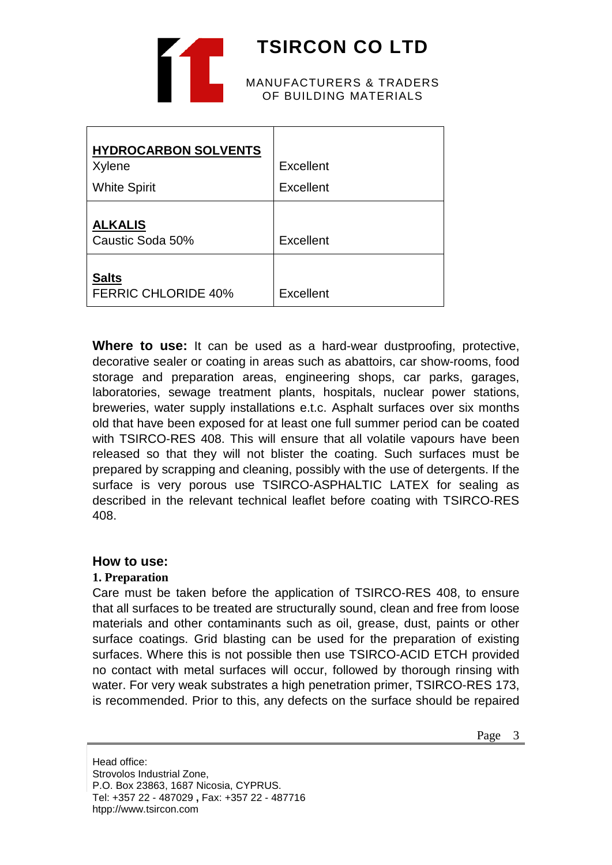

# **TSIRCON CO LTD**

#### MANUFACTURERS & TRADERS OF BUILDING MATERIALS

| <b>HYDROCARBON SOLVENTS</b>                |                  |
|--------------------------------------------|------------------|
| Xylene                                     | Excellent        |
| <b>White Spirit</b>                        | Excellent        |
| <b>ALKALIS</b><br>Caustic Soda 50%         | Excellent        |
| <b>Salts</b><br><b>FERRIC CHLORIDE 40%</b> | <b>Excellent</b> |

**Where to use:** It can be used as a hard-wear dustproofing, protective, decorative sealer or coating in areas such as abattoirs, car show-rooms, food storage and preparation areas, engineering shops, car parks, garages, laboratories, sewage treatment plants, hospitals, nuclear power stations, breweries, water supply installations e.t.c. Asphalt surfaces over six months old that have been exposed for at least one full summer period can be coated with TSIRCO-RES 408. This will ensure that all volatile vapours have been released so that they will not blister the coating. Such surfaces must be prepared by scrapping and cleaning, possibly with the use of detergents. If the surface is very porous use TSIRCO-ASPHALTIC LATEX for sealing as described in the relevant technical leaflet before coating with TSIRCO-RES 408.

## **How to use:**

## **1. Preparation**

Care must be taken before the application of TSIRCO-RES 408, to ensure that all surfaces to be treated are structurally sound, clean and free from loose materials and other contaminants such as oil, grease, dust, paints or other surface coatings. Grid blasting can be used for the preparation of existing surfaces. Where this is not possible then use TSIRCO-ACID ETCH provided no contact with metal surfaces will occur, followed by thorough rinsing with water. For very weak substrates a high penetration primer, TSIRCO-RES 173, is recommended. Prior to this, any defects on the surface should be repaired

Head office: Strovolos Industrial Zone, P.O. Box 23863, 1687 Nicosia, CYPRUS. Tel: +357 22 - 487029 **,** Fax: +357 22 - 487716 htpp://www.tsircon.com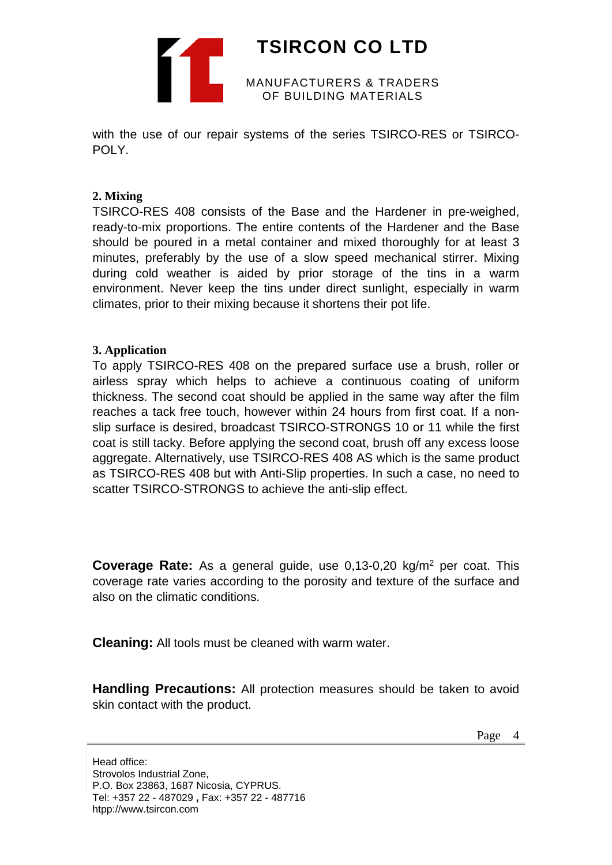

# **TSIRCON CO LTD**

MANUFACTURERS & TRADERS OF BUILDING MATERIALS

with the use of our repair systems of the series TSIRCO-RES or TSIRCO-POLY.

## **2. Mixing**

TSIRCO-RES 408 consists of the Base and the Hardener in pre-weighed, ready-to-mix proportions. The entire contents of the Hardener and the Base should be poured in a metal container and mixed thoroughly for at least 3 minutes, preferably by the use of a slow speed mechanical stirrer. Mixing during cold weather is aided by prior storage of the tins in a warm environment. Never keep the tins under direct sunlight, especially in warm climates, prior to their mixing because it shortens their pot life.

#### **3. Application**

To apply TSIRCO-RES 408 on the prepared surface use a brush, roller or airless spray which helps to achieve a continuous coating of uniform thickness. The second coat should be applied in the same way after the film reaches a tack free touch, however within 24 hours from first coat. If a nonslip surface is desired, broadcast TSIRCO-STRONGS 10 or 11 while the first coat is still tacky. Before applying the second coat, brush off any excess loose aggregate. Alternatively, use TSIRCO-RES 408 AS which is the same product as TSIRCO-RES 408 but with Anti-Slip properties. In such a case, no need to scatter TSIRCO-STRONGS to achieve the anti-slip effect.

**Coverage Rate:** As a general guide, use 0,13-0,20 kg/m<sup>2</sup> per coat. This coverage rate varies according to the porosity and texture of the surface and also on the climatic conditions.

**Cleaning:** All tools must be cleaned with warm water.

**Handling Precautions:** All protection measures should be taken to avoid skin contact with the product.

Page 4